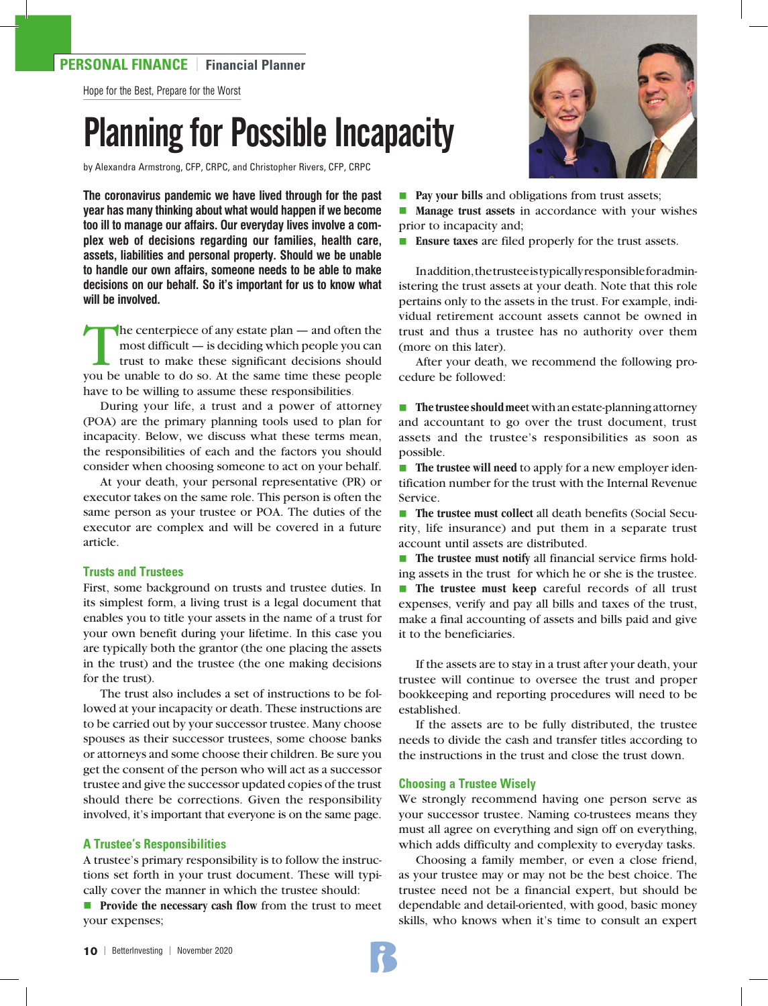## **PERSONAL FINANCE** | **Financial Planner**

Hope for the Best, Prepare for the Worst

# Planning for Possible Incapacity

by Alexandra Armstrong, CFP, CRPC, and Christopher Rivers, CFP, CRPC

**The coronavirus pandemic we have lived through for the past year has many thinking about what would happen if we become too ill to manage our affairs. Our everyday lives involve a complex web of decisions regarding our families, health care, assets, liabilities and personal property. Should we be unable to handle our own affairs, someone needs to be able to make decisions on our behalf. So it's important for us to know what will be involved.** 

 $\blacksquare$  he centerpiece of any estate plan — and often the most difficult — is deciding which people you can trust to make these significant decisions should you be unable to do so. At the same time these people have to be willing to assume these responsibilities.

During your life, a trust and a power of attorney (POA) are the primary planning tools used to plan for incapacity. Below, we discuss what these terms mean, the responsibilities of each and the factors you should consider when choosing someone to act on your behalf.

At your death, your personal representative (PR) or executor takes on the same role. This person is often the same person as your trustee or POA. The duties of the executor are complex and will be covered in a future article.

#### **Trusts and Trustees**

First, some background on trusts and trustee duties. In its simplest form, a living trust is a legal document that enables you to title your assets in the name of a trust for your own benefit during your lifetime. In this case you are typically both the grantor (the one placing the assets in the trust) and the trustee (the one making decisions for the trust).

The trust also includes a set of instructions to be followed at your incapacity or death. These instructions are to be carried out by your successor trustee. Many choose spouses as their successor trustees, some choose banks or attorneys and some choose their children. Be sure you get the consent of the person who will act as a successor trustee and give the successor updated copies of the trust should there be corrections. Given the responsibility involved, it's important that everyone is on the same page.

#### **A Trustee's Responsibilities**

A trustee's primary responsibility is to follow the instructions set forth in your trust document. These will typically cover the manner in which the trustee should:

**n Provide the necessary cash flow from the trust to meet** your expenses;



**Pay your bills and obligations from trust assets;** 

**n Manage trust assets** in accordance with your wishes prior to incapacity and;

■ **Ensure taxes** are filed properly for the trust assets.

In addition, the trustee is typically responsible for administering the trust assets at your death. Note that this role pertains only to the assets in the trust. For example, individual retirement account assets cannot be owned in trust and thus a trustee has no authority over them (more on this later).

After your death, we recommend the following procedure be followed:

■ The trustee should meet with an estate-planning attorney and accountant to go over the trust document, trust assets and the trustee's responsibilities as soon as possible.

■ **The trustee will need** to apply for a new employer identification number for the trust with the Internal Revenue Service.

**n The trustee must collect all death benefits (Social Secu**rity, life insurance) and put them in a separate trust account until assets are distributed.

■ **The trustee must notify** all financial service firms holding assets in the trust for which he or she is the trustee.

**n** The trustee must keep careful records of all trust expenses, verify and pay all bills and taxes of the trust, make a final accounting of assets and bills paid and give it to the beneficiaries.

If the assets are to stay in a trust after your death, your trustee will continue to oversee the trust and proper bookkeeping and reporting procedures will need to be established.

If the assets are to be fully distributed, the trustee needs to divide the cash and transfer titles according to the instructions in the trust and close the trust down.

#### **Choosing a Trustee Wisely**

We strongly recommend having one person serve as your successor trustee. Naming co-trustees means they must all agree on everything and sign off on everything, which adds difficulty and complexity to everyday tasks.

Choosing a family member, or even a close friend, as your trustee may or may not be the best choice. The trustee need not be a financial expert, but should be dependable and detail-oriented, with good, basic money skills, who knows when it's time to consult an expert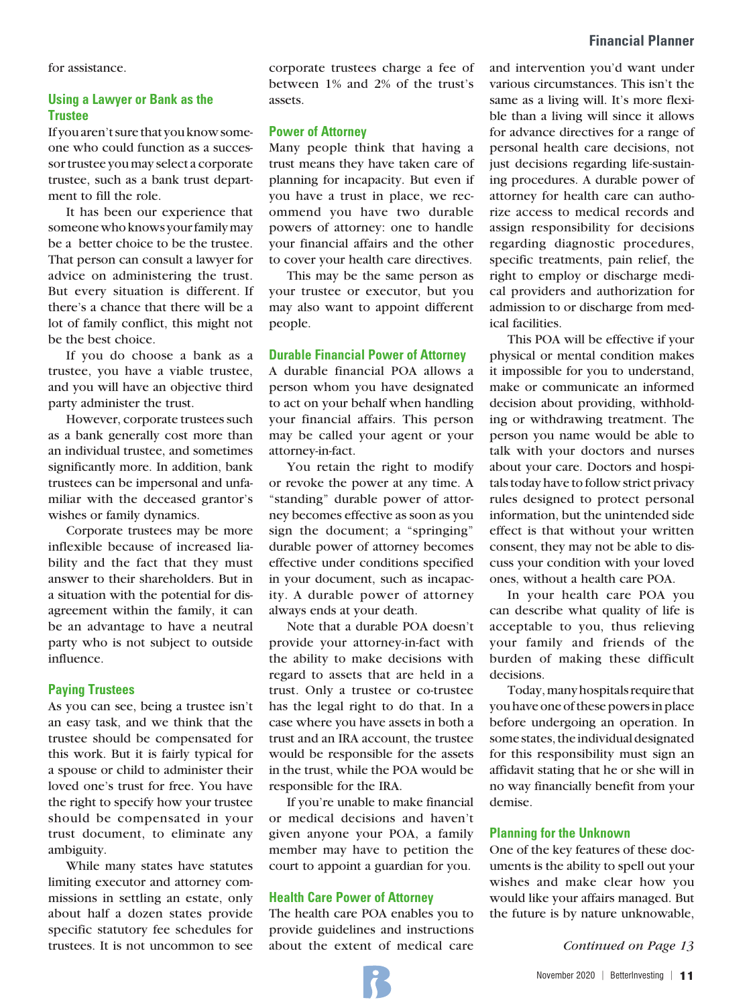for assistance.

### **Using a Lawyer or Bank as the Trustee**

If you aren't sure that you know someone who could function as a successor trustee you may select a corporate trustee, such as a bank trust department to fill the role.

It has been our experience that someone who knows your family may be a better choice to be the trustee. That person can consult a lawyer for advice on administering the trust. But every situation is different. If there's a chance that there will be a lot of family conflict, this might not be the best choice.

If you do choose a bank as a trustee, you have a viable trustee, and you will have an objective third party administer the trust.

However, corporate trustees such as a bank generally cost more than an individual trustee, and sometimes significantly more. In addition, bank trustees can be impersonal and unfamiliar with the deceased grantor's wishes or family dynamics.

Corporate trustees may be more inflexible because of increased liability and the fact that they must answer to their shareholders. But in a situation with the potential for disagreement within the family, it can be an advantage to have a neutral party who is not subject to outside influence.

#### **Paying Trustees**

As you can see, being a trustee isn't an easy task, and we think that the trustee should be compensated for this work. But it is fairly typical for a spouse or child to administer their loved one's trust for free. You have the right to specify how your trustee should be compensated in your trust document, to eliminate any ambiguity.

While many states have statutes limiting executor and attorney commissions in settling an estate, only about half a dozen states provide specific statutory fee schedules for trustees. It is not uncommon to see

corporate trustees charge a fee of between 1% and 2% of the trust's assets.

#### **Power of Attorney**

Many people think that having a trust means they have taken care of planning for incapacity. But even if you have a trust in place, we recommend you have two durable powers of attorney: one to handle your financial affairs and the other to cover your health care directives.

This may be the same person as your trustee or executor, but you may also want to appoint different people.

#### **Durable Financial Power of Attorney**

A durable financial POA allows a person whom you have designated to act on your behalf when handling your financial affairs. This person may be called your agent or your attorney-in-fact.

You retain the right to modify or revoke the power at any time. A "standing" durable power of attorney becomes effective as soon as you sign the document; a "springing" durable power of attorney becomes effective under conditions specified in your document, such as incapacity. A durable power of attorney always ends at your death.

Note that a durable POA doesn't provide your attorney-in-fact with the ability to make decisions with regard to assets that are held in a trust. Only a trustee or co-trustee has the legal right to do that. In a case where you have assets in both a trust and an IRA account, the trustee would be responsible for the assets in the trust, while the POA would be responsible for the IRA.

If you're unable to make financial or medical decisions and haven't given anyone your POA, a family member may have to petition the court to appoint a guardian for you.

#### **Health Care Power of Attorney**

The health care POA enables you to provide guidelines and instructions about the extent of medical care and intervention you'd want under various circumstances. This isn't the same as a living will. It's more flexible than a living will since it allows for advance directives for a range of personal health care decisions, not just decisions regarding life-sustaining procedures. A durable power of attorney for health care can authorize access to medical records and assign responsibility for decisions regarding diagnostic procedures, specific treatments, pain relief, the right to employ or discharge medical providers and authorization for admission to or discharge from medical facilities.

This POA will be effective if your physical or mental condition makes it impossible for you to understand, make or communicate an informed decision about providing, withholding or withdrawing treatment. The person you name would be able to talk with your doctors and nurses about your care. Doctors and hospitals today have to follow strict privacy rules designed to protect personal information, but the unintended side effect is that without your written consent, they may not be able to discuss your condition with your loved ones, without a health care POA.

In your health care POA you can describe what quality of life is acceptable to you, thus relieving your family and friends of the burden of making these difficult decisions.

Today, many hospitals require that you have one of these powers in place before undergoing an operation. In some states, the individual designated for this responsibility must sign an affidavit stating that he or she will in no way financially benefit from your demise.

#### **Planning for the Unknown**

One of the key features of these documents is the ability to spell out your wishes and make clear how you would like your affairs managed. But the future is by nature unknowable,

*Continued on Page 13*